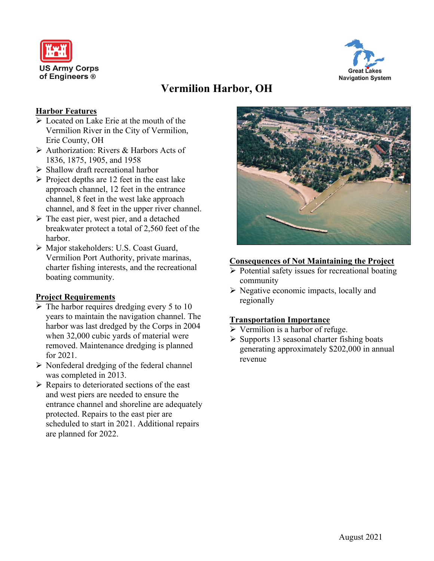



# **Vermilion Harbor, OH**

# **Harbor Features**

- Located on Lake Erie at the mouth of the Vermilion River in the City of Vermilion, Erie County, OH
- Authorization: Rivers & Harbors Acts of 1836, 1875, 1905, and 1958
- $\triangleright$  Shallow draft recreational harbor
- $\triangleright$  Project depths are 12 feet in the east lake approach channel, 12 feet in the entrance channel, 8 feet in the west lake approach channel, and 8 feet in the upper river channel.
- $\triangleright$  The east pier, west pier, and a detached breakwater protect a total of 2,560 feet of the harbor.
- Major stakeholders: U.S. Coast Guard, Vermilion Port Authority, private marinas, charter fishing interests, and the recreational boating community.

# **Project Requirements**

- $\triangleright$  The harbor requires dredging every 5 to 10 years to maintain the navigation channel. The harbor was last dredged by the Corps in 2004 when 32,000 cubic yards of material were removed. Maintenance dredging is planned for 2021.
- $\triangleright$  Nonfederal dredging of the federal channel was completed in 2013.
- $\triangleright$  Repairs to deteriorated sections of the east and west piers are needed to ensure the entrance channel and shoreline are adequately protected. Repairs to the east pier are scheduled to start in 2021. Additional repairs are planned for 2022.



#### **Consequences of Not Maintaining the Project**

- $\triangleright$  Potential safety issues for recreational boating community
- $\triangleright$  Negative economic impacts, locally and regionally

# **Transportation Importance**

- $\triangleright$  Vermilion is a harbor of refuge.
- $\triangleright$  Supports 13 seasonal charter fishing boats generating approximately \$202,000 in annual revenue